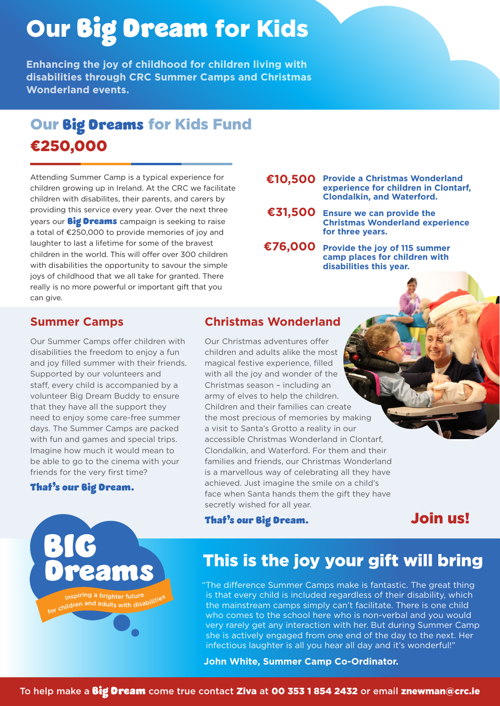# Our Big Dream for Kids

**Enhancing the joy of childhood for children living with disabilities through CRC Summer Camps and Christmas Wonderland events.**

# Our Big Dreams for Kids Fund €250,000

Attending Summer Camp is a typical experience for children growing up in Ireland. At the CRC we facilitate children with disabilites, their parents, and carers by providing this service every year. Over the next three years our **Big Dreams** campaign is seeking to raise a total of  $£250,000$  to provide memories of joy and laughter to last a lifetime for some of the bravest children in the world. This will offer over 300 children with disabilities the opportunity to savour the simple joys of childhood that we all take for granted. There really is no more powerful or important gift that you can give.

#### €10,500 Provide a Christmas Wonderland **experience for children in Clontarf, Clondalkin, and Waterford.**

- €31,500 Ensure we can provide the **Christmas Wonderland experience for three years.**
- **Provide the joy of 115 summer ¤76,000 camp places for children with disabilities this year.**

### **Summer Camps**

Our Summer Camps offer children with disabilities the freedom to enjoy a fun and joy filled summer with their friends. Supported by our volunteers and staff, every child is accompanied by a volunteer Big Dream Buddy to ensure that they have all the support they need to enjoy some care-free summer days. The Summer Camps are packed with fun and games and special trips. Imagine how much it would mean to be able to go to the cinema with your friends for the very first time?

eams

piring a brighter future for children and adults with disabilities

### That's our Big Dream.

BIG

## **Christmas Wonderland**

Our Christmas adventures offer children and adults alike the most magical festive experience, filled with all the joy and wonder of the Christmas season – including an army of elves to help the children. Children and their families can create the most precious of memories by making a visit to Santa's Grotto a reality in our accessible Christmas Wonderland in Clontarf, Clondalkin, and Waterford. For them and their families and friends, our Christmas Wonderland is a marvellous way of celebrating all they have achieved. Just imagine the smile on a child's face when Santa hands them the gift they have secretly wished for all year.

#### That's our Big Dream.

Join us!

## This is the joy your gift will bring

"The difference Summer Camps make is fantastic. The great thing is that every child is included regardless of their disability, which the mainstream camps simply can't facilitate. There is one child who comes to the school here who is non-verbal and you would very rarely get any interaction with her. But during Summer Camp she is actively engaged from one end of the day to the next. Her infectious laughter is all you hear all day and it's wonderful!"

**John White, Summer Camp Co-Ordinator.**